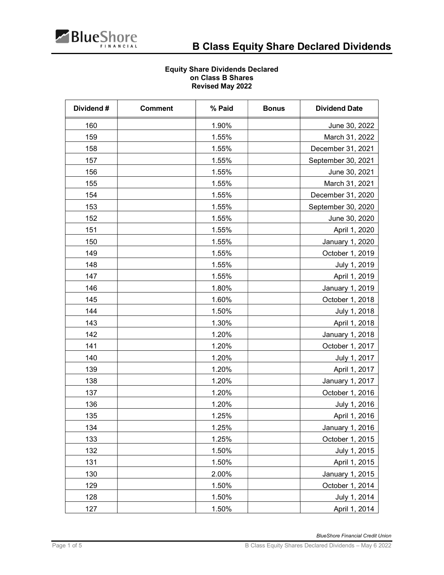

## Equity Share Dividends Declared on Class B Shares Revised May 2022

| Dividend# | <b>Comment</b> | % Paid | <b>Bonus</b> | <b>Dividend Date</b> |
|-----------|----------------|--------|--------------|----------------------|
| 160       |                | 1.90%  |              | June 30, 2022        |
| 159       |                | 1.55%  |              | March 31, 2022       |
| 158       |                | 1.55%  |              | December 31, 2021    |
| 157       |                | 1.55%  |              | September 30, 2021   |
| 156       |                | 1.55%  |              | June 30, 2021        |
| 155       |                | 1.55%  |              | March 31, 2021       |
| 154       |                | 1.55%  |              | December 31, 2020    |
| 153       |                | 1.55%  |              | September 30, 2020   |
| 152       |                | 1.55%  |              | June 30, 2020        |
| 151       |                | 1.55%  |              | April 1, 2020        |
| 150       |                | 1.55%  |              | January 1, 2020      |
| 149       |                | 1.55%  |              | October 1, 2019      |
| 148       |                | 1.55%  |              | July 1, 2019         |
| 147       |                | 1.55%  |              | April 1, 2019        |
| 146       |                | 1.80%  |              | January 1, 2019      |
| 145       |                | 1.60%  |              | October 1, 2018      |
| 144       |                | 1.50%  |              | July 1, 2018         |
| 143       |                | 1.30%  |              | April 1, 2018        |
| 142       |                | 1.20%  |              | January 1, 2018      |
| 141       |                | 1.20%  |              | October 1, 2017      |
| 140       |                | 1.20%  |              | July 1, 2017         |
| 139       |                | 1.20%  |              | April 1, 2017        |
| 138       |                | 1.20%  |              | January 1, 2017      |
| 137       |                | 1.20%  |              | October 1, 2016      |
| 136       |                | 1.20%  |              | July 1, 2016         |
| 135       |                | 1.25%  |              | April 1, 2016        |
| 134       |                | 1.25%  |              | January 1, 2016      |
| 133       |                | 1.25%  |              | October 1, 2015      |
| 132       |                | 1.50%  |              | July 1, 2015         |
| 131       |                | 1.50%  |              | April 1, 2015        |
| 130       |                | 2.00%  |              | January 1, 2015      |
| 129       |                | 1.50%  |              | October 1, 2014      |
| 128       |                | 1.50%  |              | July 1, 2014         |
| 127       |                | 1.50%  |              | April 1, 2014        |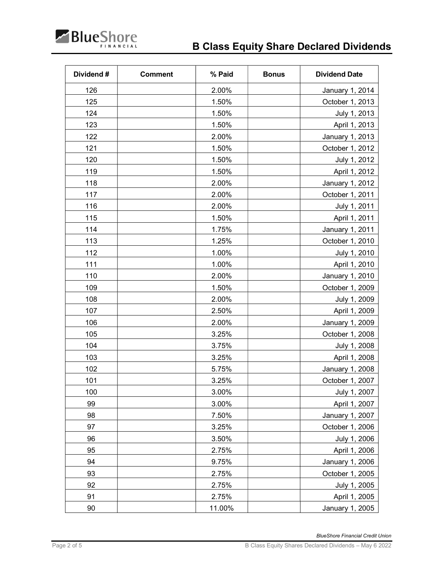

| Dividend# | <b>Comment</b> | % Paid | <b>Bonus</b> | <b>Dividend Date</b> |
|-----------|----------------|--------|--------------|----------------------|
| 126       |                | 2.00%  |              | January 1, 2014      |
| 125       |                | 1.50%  |              | October 1, 2013      |
| 124       |                | 1.50%  |              | July 1, 2013         |
| 123       |                | 1.50%  |              | April 1, 2013        |
| 122       |                | 2.00%  |              | January 1, 2013      |
| 121       |                | 1.50%  |              | October 1, 2012      |
| 120       |                | 1.50%  |              | July 1, 2012         |
| 119       |                | 1.50%  |              | April 1, 2012        |
| 118       |                | 2.00%  |              | January 1, 2012      |
| 117       |                | 2.00%  |              | October 1, 2011      |
| 116       |                | 2.00%  |              | July 1, 2011         |
| 115       |                | 1.50%  |              | April 1, 2011        |
| 114       |                | 1.75%  |              | January 1, 2011      |
| 113       |                | 1.25%  |              | October 1, 2010      |
| 112       |                | 1.00%  |              | July 1, 2010         |
| 111       |                | 1.00%  |              | April 1, 2010        |
| 110       |                | 2.00%  |              | January 1, 2010      |
| 109       |                | 1.50%  |              | October 1, 2009      |
| 108       |                | 2.00%  |              | July 1, 2009         |
| 107       |                | 2.50%  |              | April 1, 2009        |
| 106       |                | 2.00%  |              | January 1, 2009      |
| 105       |                | 3.25%  |              | October 1, 2008      |
| 104       |                | 3.75%  |              | July 1, 2008         |
| 103       |                | 3.25%  |              | April 1, 2008        |
| 102       |                | 5.75%  |              | January 1, 2008      |
| 101       |                | 3.25%  |              | October 1, 2007      |
| 100       |                | 3.00%  |              | July 1, 2007         |
| 99        |                | 3.00%  |              | April 1, 2007        |
| 98        |                | 7.50%  |              | January 1, 2007      |
| 97        |                | 3.25%  |              | October 1, 2006      |
| 96        |                | 3.50%  |              | July 1, 2006         |
| 95        |                | 2.75%  |              | April 1, 2006        |
| 94        |                | 9.75%  |              | January 1, 2006      |
| 93        |                | 2.75%  |              | October 1, 2005      |
| 92        |                | 2.75%  |              | July 1, 2005         |
| 91        |                | 2.75%  |              | April 1, 2005        |
| 90        |                | 11.00% |              | January 1, 2005      |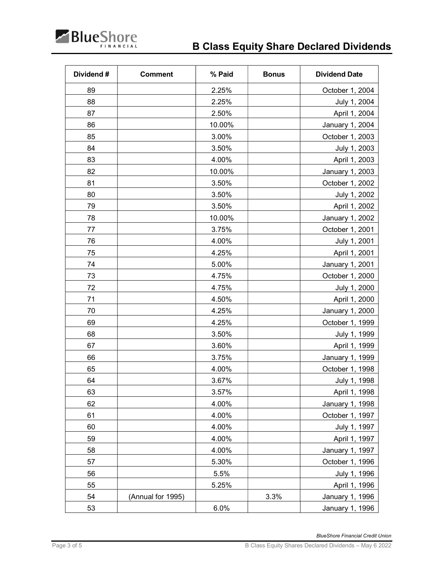

| Dividend# | <b>Comment</b>    | % Paid | <b>Bonus</b> | <b>Dividend Date</b> |
|-----------|-------------------|--------|--------------|----------------------|
| 89        |                   | 2.25%  |              | October 1, 2004      |
| 88        |                   | 2.25%  |              | July 1, 2004         |
| 87        |                   | 2.50%  |              | April 1, 2004        |
| 86        |                   | 10.00% |              | January 1, 2004      |
| 85        |                   | 3.00%  |              | October 1, 2003      |
| 84        |                   | 3.50%  |              | July 1, 2003         |
| 83        |                   | 4.00%  |              | April 1, 2003        |
| 82        |                   | 10.00% |              | January 1, 2003      |
| 81        |                   | 3.50%  |              | October 1, 2002      |
| 80        |                   | 3.50%  |              | July 1, 2002         |
| 79        |                   | 3.50%  |              | April 1, 2002        |
| 78        |                   | 10.00% |              | January 1, 2002      |
| 77        |                   | 3.75%  |              | October 1, 2001      |
| 76        |                   | 4.00%  |              | July 1, 2001         |
| 75        |                   | 4.25%  |              | April 1, 2001        |
| 74        |                   | 5.00%  |              | January 1, 2001      |
| 73        |                   | 4.75%  |              | October 1, 2000      |
| 72        |                   | 4.75%  |              | July 1, 2000         |
| 71        |                   | 4.50%  |              | April 1, 2000        |
| 70        |                   | 4.25%  |              | January 1, 2000      |
| 69        |                   | 4.25%  |              | October 1, 1999      |
| 68        |                   | 3.50%  |              | July 1, 1999         |
| 67        |                   | 3.60%  |              | April 1, 1999        |
| 66        |                   | 3.75%  |              | January 1, 1999      |
| 65        |                   | 4.00%  |              | October 1, 1998      |
| 64        |                   | 3.67%  |              | July 1, 1998         |
| 63        |                   | 3.57%  |              | April 1, 1998        |
| 62        |                   | 4.00%  |              | January 1, 1998      |
| 61        |                   | 4.00%  |              | October 1, 1997      |
| 60        |                   | 4.00%  |              | July 1, 1997         |
| 59        |                   | 4.00%  |              | April 1, 1997        |
| 58        |                   | 4.00%  |              | January 1, 1997      |
| 57        |                   | 5.30%  |              | October 1, 1996      |
| 56        |                   | 5.5%   |              | July 1, 1996         |
| 55        |                   | 5.25%  |              | April 1, 1996        |
| 54        | (Annual for 1995) |        | 3.3%         | January 1, 1996      |
| 53        |                   | 6.0%   |              | January 1, 1996      |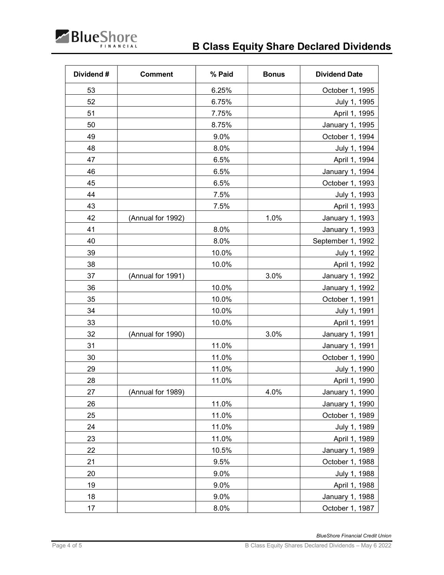

| Dividend# | <b>Comment</b>    | % Paid | <b>Bonus</b> | <b>Dividend Date</b>   |
|-----------|-------------------|--------|--------------|------------------------|
| 53        |                   | 6.25%  |              | October 1, 1995        |
| 52        |                   | 6.75%  |              | July 1, 1995           |
| 51        |                   | 7.75%  |              | April 1, 1995          |
| 50        |                   | 8.75%  |              | January 1, 1995        |
| 49        |                   | 9.0%   |              | October 1, 1994        |
| 48        |                   | 8.0%   |              | July 1, 1994           |
| 47        |                   | 6.5%   |              | April 1, 1994          |
| 46        |                   | 6.5%   |              | January 1, 1994        |
| 45        |                   | 6.5%   |              | October 1, 1993        |
| 44        |                   | 7.5%   |              | July 1, 1993           |
| 43        |                   | 7.5%   |              | April 1, 1993          |
| 42        | (Annual for 1992) |        | 1.0%         | January 1, 1993        |
| 41        |                   | 8.0%   |              | January 1, 1993        |
| 40        |                   | 8.0%   |              | September 1, 1992      |
| 39        |                   | 10.0%  |              | July 1, 1992           |
| 38        |                   | 10.0%  |              | April 1, 1992          |
| 37        | (Annual for 1991) |        | 3.0%         | January 1, 1992        |
| 36        |                   | 10.0%  |              | January 1, 1992        |
| 35        |                   | 10.0%  |              | October 1, 1991        |
| 34        |                   | 10.0%  |              | July 1, 1991           |
| 33        |                   | 10.0%  |              | April 1, 1991          |
| 32        | (Annual for 1990) |        | 3.0%         | January 1, 1991        |
| 31        |                   | 11.0%  |              | <b>January 1, 1991</b> |
| 30        |                   | 11.0%  |              | October 1, 1990        |
| 29        |                   | 11.0%  |              | July 1, 1990           |
| 28        |                   | 11.0%  |              | April 1, 1990          |
| 27        | (Annual for 1989) |        | 4.0%         | January 1, 1990        |
| 26        |                   | 11.0%  |              | January 1, 1990        |
| 25        |                   | 11.0%  |              | October 1, 1989        |
| 24        |                   | 11.0%  |              | July 1, 1989           |
| 23        |                   | 11.0%  |              | April 1, 1989          |
| 22        |                   | 10.5%  |              | January 1, 1989        |
| 21        |                   | 9.5%   |              | October 1, 1988        |
| 20        |                   | 9.0%   |              | July 1, 1988           |
| 19        |                   | 9.0%   |              | April 1, 1988          |
| 18        |                   | 9.0%   |              | <b>January 1, 1988</b> |
| 17        |                   | 8.0%   |              | October 1, 1987        |